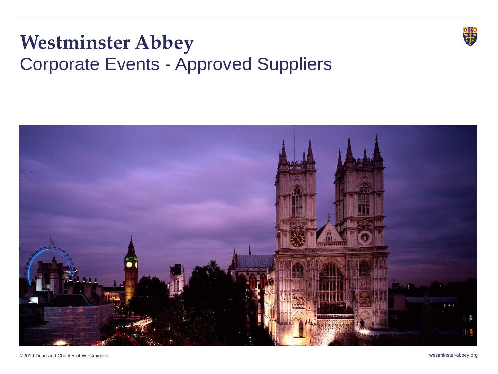## **Westminster Abbey** Corporate Events - Approved Suppliers



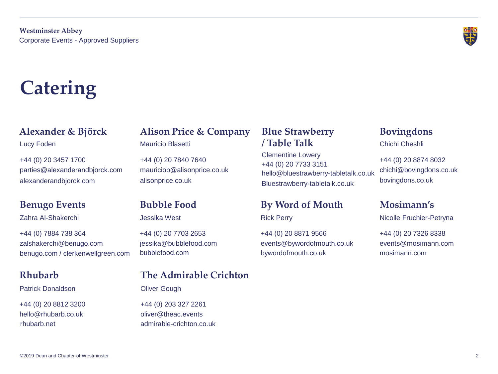

# **Catering**

Lucy Foden Mauricio Blasetti

+44 (0) 20 3457 1700 parties@alexanderandbjorck.com

+44 (0) 7884 738 364 zalshakerchi@benugo.com benugo.com / clerkenwellgreen.com bubblefood.com bywordofmouth.co.uk mosimann.com

Patrick Donaldson **Oliver Gough** 

+44 (0) 20 8812 3200 hello@rhubarb.co.uk

## **Alexander & Björck Alison Price & Company Blue Strawberry**

+44 (0) 20 7840 7640 mauriciob@alisonprice.co.uk

+44 (0) 20 7703 2653 jessika@bubblefood.com

### **Rhubarb The Admirable Crichton**

+44 (0) 203 327 2261 oliver@theac.events rhubarb.net admirable-crichton.co.uk

# **/ Table Talk**

Clementine Lowery +44 (0) 20 7733 3151 hello@bluestrawberry-tabletalk.co.uk alexanderandbjorck.com alisonprice.co.uk Bluestrawberry-tabletalk.co.uk bovingdons.co.uk

### **Benugo Events Bubble Food By Word of Mouth Mosimann's**

+44 (0) 20 8871 9566 events@bywordofmouth.co.uk

### **Bovingdons**

Chichi Cheshli

+44 (0) 20 8874 8032 chichi@bovingdons.co.uk

Zahra Al-Shakerchi Jessika West Rick Perry Nicolle Fruchier-Petryna

+44 (0) 20 7326 8338 events@mosimann.com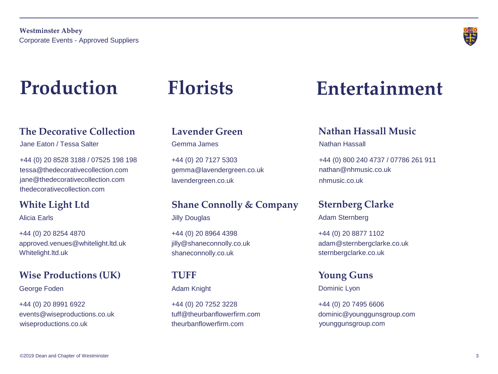

## **Production Florists**

### **The Decorative Collection Lavender Green**

Jane Eaton / Tessa Salter Gemma James

+44 (0) 20 8528 3188 / 07525 198 198 tessa@thedecorativecollection.com jane@thedecorativecollection.com thedecorativecollection.com

+44 (0) 20 8254 4870 approved.venues@whitelight.ltd.uk Whitelight.ltd.uk shaneconnolly.co.uk

### **Wise Productions (UK) TUFF**

George Foden **Adam Knight** Ceorge Foden Adam Knight

+44 (0) 20 8991 6922 events@wiseproductions.co.uk wiseproductions.co.uk theurbanflowerfirm.com

+44 (0) 20 7127 5303 gemma@lavendergreen.co.uk lavendergreen.co.uk

### **White Light Ltd Shane Connolly & Company**

Alicia Earls **Alicia Earls Alicia Earls Alicia Earls Alicia Earls Alicia Earls Alicia Earls Alicia Earls Alicia Earls Alicia Earls Alicia Earls Alicia Earls Alicia Earls Alicia Earls Alicia Earls** 

+44 (0) 20 8964 4398 jilly@shaneconnolly.co.uk

+44 (0) 20 7252 3228 tuff@theurbanflowerfirm.com

## **Entertainment**

### **Nathan Hassall Music**

Nathan Hassall

+44 (0) 800 240 4737 / 07786 261 911 nathan@nhmusic.co.uk nhmusic.co.uk

### **Sternberg Clarke**

Adam Sternberg

+44 (0) 20 8877 1102 adam@sternbergclarke.co.uk sternbergclarke.co.uk

### **Young Guns**

Dominic Lyon

+44 (0) 20 7495 6606 dominic@younggunsgroup.com younggunsgroup.com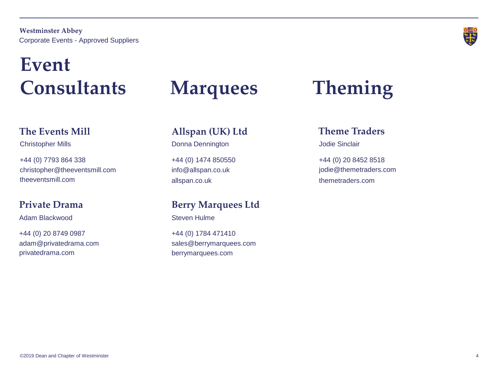**Westminster Abbey** Corporate Events - Approved Suppliers

## **Event Consultants Marquees Theming**

+44 (0) 7793 864 338 christopher@theeventsmill.com theeventsmill.com allspan could be all themetraders.com all themetraders.com all themetraders.com

Adam Blackwood **Steven Hulme** 

+44 (0) 20 8749 0987 adam@privatedrama.com privatedrama.com berrymarquees.com

### **The Events Mill Allspan (UK) Ltd**

Christopher Mills **Donna Dennington** 

+44 (0) 1474 850550 info@allspan.co.uk allspan.co.uk

### **Private Drama Berry Marquees Ltd**

+44 (0) 1784 471410 sales@berrymarquees.com

### **Theme Traders**

Jodie Sinclair

+44 (0) 20 8452 8518 jodie@themetraders.com